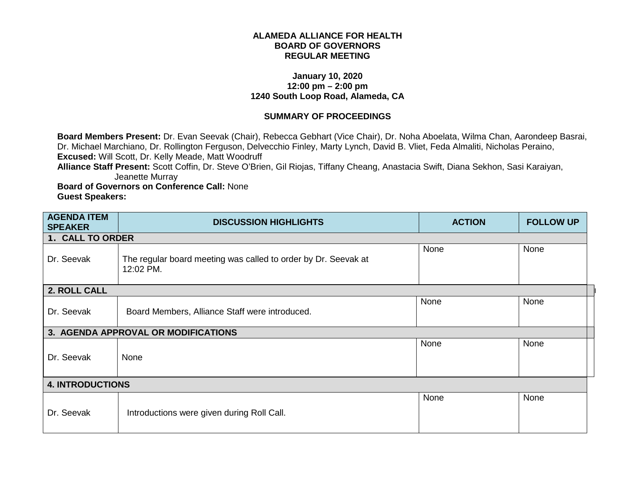## **ALAMEDA ALLIANCE FOR HEALTH BOARD OF GOVERNORS REGULAR MEETING**

## **January 10, 2020 12:00 pm – 2:00 pm 1240 South Loop Road, Alameda, CA**

## **SUMMARY OF PROCEEDINGS**

**Board Members Present:** Dr. Evan Seevak (Chair), Rebecca Gebhart (Vice Chair), Dr. Noha Aboelata, Wilma Chan, Aarondeep Basrai, Dr. Michael Marchiano, Dr. Rollington Ferguson, Delvecchio Finley, Marty Lynch, David B. Vliet, Feda Almaliti, Nicholas Peraino, **Excused:** Will Scott, Dr. Kelly Meade, Matt Woodruff

**Alliance Staff Present:** Scott Coffin, Dr. Steve O'Brien, Gil Riojas, Tiffany Cheang, Anastacia Swift, Diana Sekhon, Sasi Karaiyan, Jeanette Murray

**Board of Governors on Conference Call:** None **Guest Speakers:** 

| <b>AGENDA ITEM</b><br><b>SPEAKER</b> | <b>DISCUSSION HIGHLIGHTS</b>                                                | <b>ACTION</b> | <b>FOLLOW UP</b> |
|--------------------------------------|-----------------------------------------------------------------------------|---------------|------------------|
| 1. CALL TO ORDER                     |                                                                             |               |                  |
| Dr. Seevak                           | The regular board meeting was called to order by Dr. Seevak at<br>12:02 PM. | None          | None             |
| 2. ROLL CALL                         |                                                                             |               |                  |
| Dr. Seevak                           | Board Members, Alliance Staff were introduced.                              | None          | None             |
|                                      | 3. AGENDA APPROVAL OR MODIFICATIONS                                         |               |                  |
| Dr. Seevak                           | None                                                                        | None          | None             |
| <b>4. INTRODUCTIONS</b>              |                                                                             |               |                  |
| Dr. Seevak                           | Introductions were given during Roll Call.                                  | None          | None             |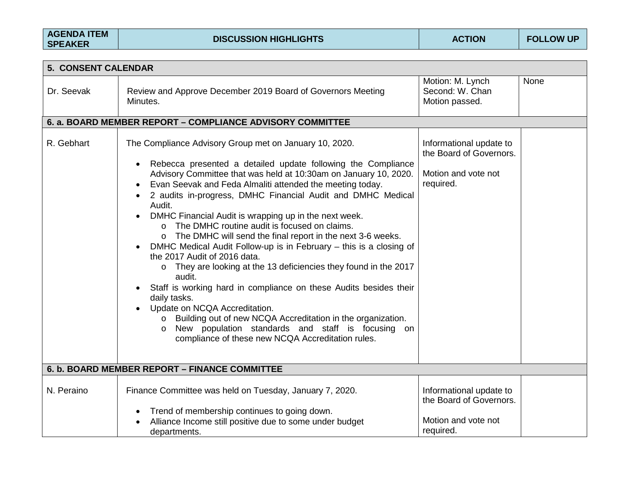| <b>AGENDA ITEM</b> |  |
|--------------------|--|
| <b>SPEAKER</b>     |  |

| 5. CONSENT CALENDAR |                                                                                                                                                                                                                                                                                                                                                                                                                                                                                                                                                                                                                                                                                                                                                                                                                                                                                                                                                                                                                                                  |                                                                                        |      |
|---------------------|--------------------------------------------------------------------------------------------------------------------------------------------------------------------------------------------------------------------------------------------------------------------------------------------------------------------------------------------------------------------------------------------------------------------------------------------------------------------------------------------------------------------------------------------------------------------------------------------------------------------------------------------------------------------------------------------------------------------------------------------------------------------------------------------------------------------------------------------------------------------------------------------------------------------------------------------------------------------------------------------------------------------------------------------------|----------------------------------------------------------------------------------------|------|
| Dr. Seevak          | Review and Approve December 2019 Board of Governors Meeting<br>Minutes.                                                                                                                                                                                                                                                                                                                                                                                                                                                                                                                                                                                                                                                                                                                                                                                                                                                                                                                                                                          | Motion: M. Lynch<br>Second: W. Chan<br>Motion passed.                                  | None |
|                     | 6. a. BOARD MEMBER REPORT - COMPLIANCE ADVISORY COMMITTEE                                                                                                                                                                                                                                                                                                                                                                                                                                                                                                                                                                                                                                                                                                                                                                                                                                                                                                                                                                                        |                                                                                        |      |
| R. Gebhart          | The Compliance Advisory Group met on January 10, 2020.<br>Rebecca presented a detailed update following the Compliance<br>Advisory Committee that was held at 10:30am on January 10, 2020.<br>Evan Seevak and Feda Almaliti attended the meeting today.<br>2 audits in-progress, DMHC Financial Audit and DMHC Medical<br>Audit.<br>DMHC Financial Audit is wrapping up in the next week.<br>The DMHC routine audit is focused on claims.<br>$\Omega$<br>The DMHC will send the final report in the next 3-6 weeks.<br>$\circ$<br>DMHC Medical Audit Follow-up is in February – this is a closing of<br>the 2017 Audit of 2016 data.<br>They are looking at the 13 deficiencies they found in the 2017<br>$\circ$<br>audit.<br>Staff is working hard in compliance on these Audits besides their<br>daily tasks.<br>Update on NCQA Accreditation.<br>Building out of new NCQA Accreditation in the organization.<br>$\circ$<br>New population standards and staff is focusing on<br>$\circ$<br>compliance of these new NCQA Accreditation rules. | Informational update to<br>the Board of Governors.<br>Motion and vote not<br>required. |      |
|                     | 6. b. BOARD MEMBER REPORT - FINANCE COMMITTEE                                                                                                                                                                                                                                                                                                                                                                                                                                                                                                                                                                                                                                                                                                                                                                                                                                                                                                                                                                                                    |                                                                                        |      |
| N. Peraino          | Finance Committee was held on Tuesday, January 7, 2020.<br>Trend of membership continues to going down.<br>$\bullet$<br>Alliance Income still positive due to some under budget<br>departments.                                                                                                                                                                                                                                                                                                                                                                                                                                                                                                                                                                                                                                                                                                                                                                                                                                                  | Informational update to<br>the Board of Governors.<br>Motion and vote not<br>required. |      |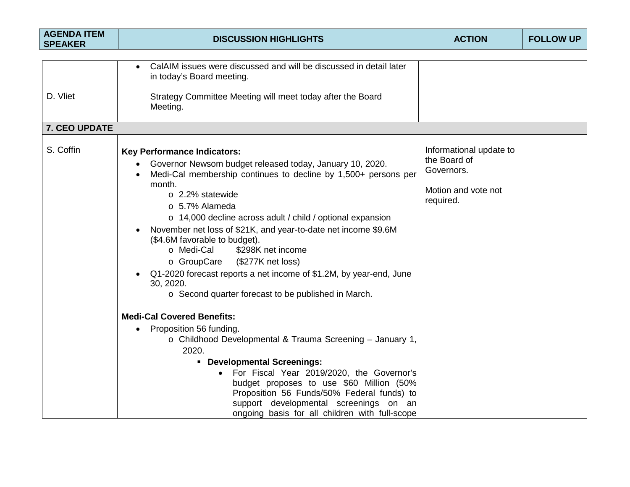| <b>AGENDA ITEM</b><br><b>SPEAKER</b> | <b>DISCUSSION HIGHLIGHTS</b>                                                                                                                                                                                                                                                                                                                                                                                                                                                                                                                                                                                                                                                                                                                                                                                                                                                                                                                                                                                                  | <b>ACTION</b>                                                                             | <b>FOLLOW UP</b> |
|--------------------------------------|-------------------------------------------------------------------------------------------------------------------------------------------------------------------------------------------------------------------------------------------------------------------------------------------------------------------------------------------------------------------------------------------------------------------------------------------------------------------------------------------------------------------------------------------------------------------------------------------------------------------------------------------------------------------------------------------------------------------------------------------------------------------------------------------------------------------------------------------------------------------------------------------------------------------------------------------------------------------------------------------------------------------------------|-------------------------------------------------------------------------------------------|------------------|
| D. Vliet                             | CalAIM issues were discussed and will be discussed in detail later<br>in today's Board meeting.<br>Strategy Committee Meeting will meet today after the Board<br>Meeting.                                                                                                                                                                                                                                                                                                                                                                                                                                                                                                                                                                                                                                                                                                                                                                                                                                                     |                                                                                           |                  |
| 7. CEO UPDATE                        |                                                                                                                                                                                                                                                                                                                                                                                                                                                                                                                                                                                                                                                                                                                                                                                                                                                                                                                                                                                                                               |                                                                                           |                  |
| S. Coffin                            | <b>Key Performance Indicators:</b><br>Governor Newsom budget released today, January 10, 2020.<br>Medi-Cal membership continues to decline by 1,500+ persons per<br>month.<br>o 2.2% statewide<br>$\circ$ 5.7% Alameda<br>o 14,000 decline across adult / child / optional expansion<br>November net loss of \$21K, and year-to-date net income \$9.6M<br>(\$4.6M favorable to budget).<br>\$298K net income<br>o Medi-Cal<br>(\$277K net loss)<br>o GroupCare<br>Q1-2020 forecast reports a net income of \$1.2M, by year-end, June<br>30, 2020.<br>o Second quarter forecast to be published in March.<br><b>Medi-Cal Covered Benefits:</b><br>Proposition 56 funding.<br>$\bullet$<br>o Childhood Developmental & Trauma Screening - January 1,<br>2020.<br>• Developmental Screenings:<br>For Fiscal Year 2019/2020, the Governor's<br>budget proposes to use \$60 Million (50%<br>Proposition 56 Funds/50% Federal funds) to<br>support developmental screenings on an<br>ongoing basis for all children with full-scope | Informational update to<br>the Board of<br>Governors.<br>Motion and vote not<br>required. |                  |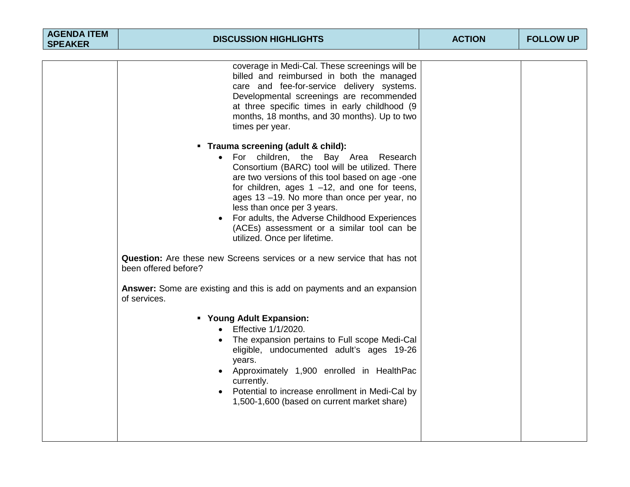| <b>AGENDA ITEM</b><br><b>SPEAKER</b> | <b>DISCUSSION HIGHLIGHTS</b>                                                                                                                                                                                                                                                                                                                                                                                                                    | <b>ACTION</b> | <b>FOLLOW UP</b> |
|--------------------------------------|-------------------------------------------------------------------------------------------------------------------------------------------------------------------------------------------------------------------------------------------------------------------------------------------------------------------------------------------------------------------------------------------------------------------------------------------------|---------------|------------------|
|                                      |                                                                                                                                                                                                                                                                                                                                                                                                                                                 |               |                  |
|                                      | coverage in Medi-Cal. These screenings will be<br>billed and reimbursed in both the managed<br>care and fee-for-service delivery systems.<br>Developmental screenings are recommended<br>at three specific times in early childhood (9<br>months, 18 months, and 30 months). Up to two<br>times per year.                                                                                                                                       |               |                  |
|                                      | • Trauma screening (adult & child):<br>For children, the Bay Area Research<br>Consortium (BARC) tool will be utilized. There<br>are two versions of this tool based on age -one<br>for children, ages $1 -12$ , and one for teens,<br>ages 13 -19. No more than once per year, no<br>less than once per 3 years.<br>For adults, the Adverse Childhood Experiences<br>(ACEs) assessment or a similar tool can be<br>utilized. Once per lifetime. |               |                  |
|                                      | <b>Question:</b> Are these new Screens services or a new service that has not<br>been offered before?                                                                                                                                                                                                                                                                                                                                           |               |                  |
|                                      | Answer: Some are existing and this is add on payments and an expansion<br>of services.                                                                                                                                                                                                                                                                                                                                                          |               |                  |
|                                      | " Young Adult Expansion:<br>Effective 1/1/2020.<br>The expansion pertains to Full scope Medi-Cal<br>eligible, undocumented adult's ages 19-26<br>years.<br>Approximately 1,900 enrolled in HealthPac<br>currently.<br>Potential to increase enrollment in Medi-Cal by<br>1,500-1,600 (based on current market share)                                                                                                                            |               |                  |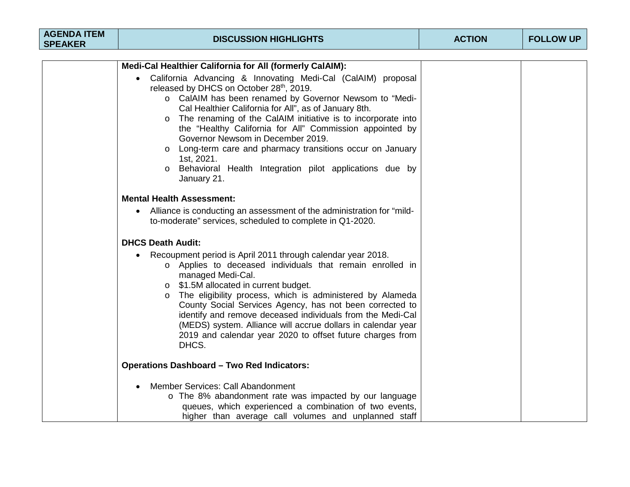| <b>AGENDA ITEM</b><br><b>SPEAKER</b> | <b>DISCUSSION HIGHLIGHTS</b>                                                                                                                                                                                                                                                                                                                                                                                                                                                                                                                                     | <b>ACTION</b> | <b>FOLLOW UP</b> |
|--------------------------------------|------------------------------------------------------------------------------------------------------------------------------------------------------------------------------------------------------------------------------------------------------------------------------------------------------------------------------------------------------------------------------------------------------------------------------------------------------------------------------------------------------------------------------------------------------------------|---------------|------------------|
|                                      |                                                                                                                                                                                                                                                                                                                                                                                                                                                                                                                                                                  |               |                  |
|                                      | Medi-Cal Healthier California for All (formerly CalAIM):                                                                                                                                                                                                                                                                                                                                                                                                                                                                                                         |               |                  |
|                                      | California Advancing & Innovating Medi-Cal (CalAIM) proposal<br>$\bullet$<br>released by DHCS on October 28th, 2019.<br>o CalAIM has been renamed by Governor Newsom to "Medi-<br>Cal Healthier California for All", as of January 8th.<br>The renaming of the CalAIM initiative is to incorporate into<br>the "Healthy California for All" Commission appointed by<br>Governor Newsom in December 2019.<br>o Long-term care and pharmacy transitions occur on January<br>1st, 2021.<br>o Behavioral Health Integration pilot applications due by<br>January 21. |               |                  |
|                                      | <b>Mental Health Assessment:</b><br>Alliance is conducting an assessment of the administration for "mild-<br>$\bullet$<br>to-moderate" services, scheduled to complete in Q1-2020.                                                                                                                                                                                                                                                                                                                                                                               |               |                  |
|                                      | <b>DHCS Death Audit:</b>                                                                                                                                                                                                                                                                                                                                                                                                                                                                                                                                         |               |                  |
|                                      | Recoupment period is April 2011 through calendar year 2018.<br>o Applies to deceased individuals that remain enrolled in<br>managed Medi-Cal.<br>$\circ$ \$1.5M allocated in current budget.<br>The eligibility process, which is administered by Alameda<br>County Social Services Agency, has not been corrected to<br>identify and remove deceased individuals from the Medi-Cal<br>(MEDS) system. Alliance will accrue dollars in calendar year<br>2019 and calendar year 2020 to offset future charges from<br>DHCS.                                        |               |                  |
|                                      | <b>Operations Dashboard - Two Red Indicators:</b>                                                                                                                                                                                                                                                                                                                                                                                                                                                                                                                |               |                  |
|                                      | Member Services: Call Abandonment<br>o The 8% abandonment rate was impacted by our language<br>queues, which experienced a combination of two events,<br>higher than average call volumes and unplanned staff                                                                                                                                                                                                                                                                                                                                                    |               |                  |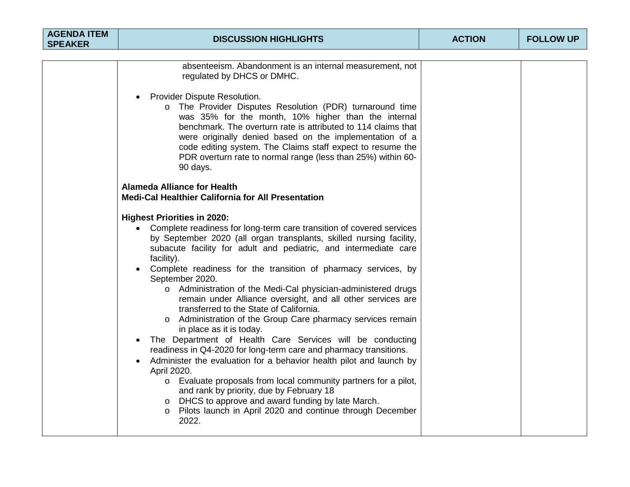| <b>AGENDA ITEM</b><br><b>SPEAKER</b> | <b>DISCUSSION HIGHLIGHTS</b>                                                                                                                                                                                                                                                                                                                                                                                                                                                                                                                                                                                                                                                                                                                                                                                                                                                                                                                                                                                                                                                                                                           | <b>ACTION</b> | <b>FOLLOW UP</b> |
|--------------------------------------|----------------------------------------------------------------------------------------------------------------------------------------------------------------------------------------------------------------------------------------------------------------------------------------------------------------------------------------------------------------------------------------------------------------------------------------------------------------------------------------------------------------------------------------------------------------------------------------------------------------------------------------------------------------------------------------------------------------------------------------------------------------------------------------------------------------------------------------------------------------------------------------------------------------------------------------------------------------------------------------------------------------------------------------------------------------------------------------------------------------------------------------|---------------|------------------|
|                                      |                                                                                                                                                                                                                                                                                                                                                                                                                                                                                                                                                                                                                                                                                                                                                                                                                                                                                                                                                                                                                                                                                                                                        |               |                  |
|                                      | absenteeism. Abandonment is an internal measurement, not<br>regulated by DHCS or DMHC.<br>Provider Dispute Resolution.<br>$\bullet$<br>The Provider Disputes Resolution (PDR) turnaround time<br>$\circ$<br>was 35% for the month, 10% higher than the internal<br>benchmark. The overturn rate is attributed to 114 claims that<br>were originally denied based on the implementation of a<br>code editing system. The Claims staff expect to resume the<br>PDR overturn rate to normal range (less than 25%) within 60-<br>90 days.                                                                                                                                                                                                                                                                                                                                                                                                                                                                                                                                                                                                  |               |                  |
|                                      | <b>Alameda Alliance for Health</b><br><b>Medi-Cal Healthier California for All Presentation</b>                                                                                                                                                                                                                                                                                                                                                                                                                                                                                                                                                                                                                                                                                                                                                                                                                                                                                                                                                                                                                                        |               |                  |
|                                      | <b>Highest Priorities in 2020:</b><br>Complete readiness for long-term care transition of covered services<br>$\bullet$<br>by September 2020 (all organ transplants, skilled nursing facility,<br>subacute facility for adult and pediatric, and intermediate care<br>facility).<br>Complete readiness for the transition of pharmacy services, by<br>September 2020.<br>o Administration of the Medi-Cal physician-administered drugs<br>remain under Alliance oversight, and all other services are<br>transferred to the State of California.<br>Administration of the Group Care pharmacy services remain<br>in place as it is today.<br>The Department of Health Care Services will be conducting<br>$\bullet$<br>readiness in Q4-2020 for long-term care and pharmacy transitions.<br>Administer the evaluation for a behavior health pilot and launch by<br>$\bullet$<br>April 2020.<br>o Evaluate proposals from local community partners for a pilot,<br>and rank by priority, due by February 18<br>DHCS to approve and award funding by late March.<br>o Pilots launch in April 2020 and continue through December<br>2022. |               |                  |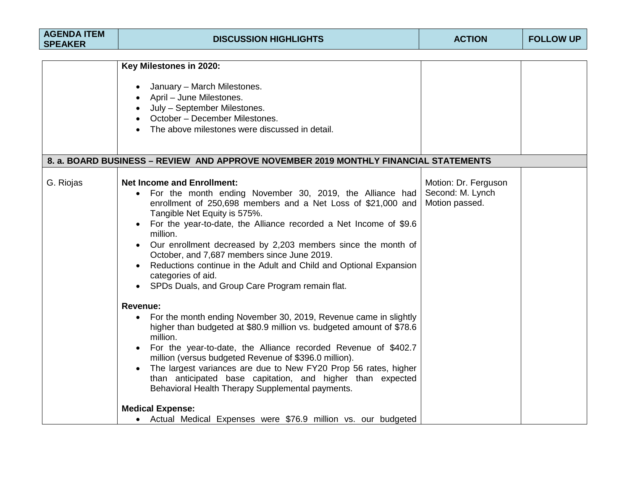| <b>AGENDA ITEM</b><br><b>SPEAKER</b> | <b>DISCUSSION HIGHLIGHTS</b>                                                                                                                                                                                                                                                                                                                                                                                                                                                                                                                                                                                                                                                                                                                                                                                                                                                                                                                   | <b>ACTION</b>                                              | <b>FOLLOW UP</b> |
|--------------------------------------|------------------------------------------------------------------------------------------------------------------------------------------------------------------------------------------------------------------------------------------------------------------------------------------------------------------------------------------------------------------------------------------------------------------------------------------------------------------------------------------------------------------------------------------------------------------------------------------------------------------------------------------------------------------------------------------------------------------------------------------------------------------------------------------------------------------------------------------------------------------------------------------------------------------------------------------------|------------------------------------------------------------|------------------|
|                                      | Key Milestones in 2020:<br>January – March Milestones.<br>April – June Milestones.<br>July - September Milestones.<br>October - December Milestones.<br>The above milestones were discussed in detail.                                                                                                                                                                                                                                                                                                                                                                                                                                                                                                                                                                                                                                                                                                                                         |                                                            |                  |
|                                      | 8. a. BOARD BUSINESS – REVIEW AND APPROVE NOVEMBER 2019 MONTHLY FINANCIAL STATEMENTS                                                                                                                                                                                                                                                                                                                                                                                                                                                                                                                                                                                                                                                                                                                                                                                                                                                           |                                                            |                  |
| G. Riojas                            | <b>Net Income and Enrollment:</b><br>For the month ending November 30, 2019, the Alliance had<br>enrollment of 250,698 members and a Net Loss of \$21,000 and<br>Tangible Net Equity is 575%.<br>For the year-to-date, the Alliance recorded a Net Income of \$9.6<br>million.<br>Our enrollment decreased by 2,203 members since the month of<br>October, and 7,687 members since June 2019.<br>Reductions continue in the Adult and Child and Optional Expansion<br>categories of aid.<br>SPDs Duals, and Group Care Program remain flat.<br>$\bullet$<br><b>Revenue:</b><br>For the month ending November 30, 2019, Revenue came in slightly<br>$\bullet$<br>higher than budgeted at \$80.9 million vs. budgeted amount of \$78.6<br>million.<br>For the year-to-date, the Alliance recorded Revenue of \$402.7<br>million (versus budgeted Revenue of \$396.0 million).<br>The largest variances are due to New FY20 Prop 56 rates, higher | Motion: Dr. Ferguson<br>Second: M. Lynch<br>Motion passed. |                  |
|                                      | than anticipated base capitation, and higher than expected<br>Behavioral Health Therapy Supplemental payments.<br><b>Medical Expense:</b><br>• Actual Medical Expenses were \$76.9 million vs. our budgeted                                                                                                                                                                                                                                                                                                                                                                                                                                                                                                                                                                                                                                                                                                                                    |                                                            |                  |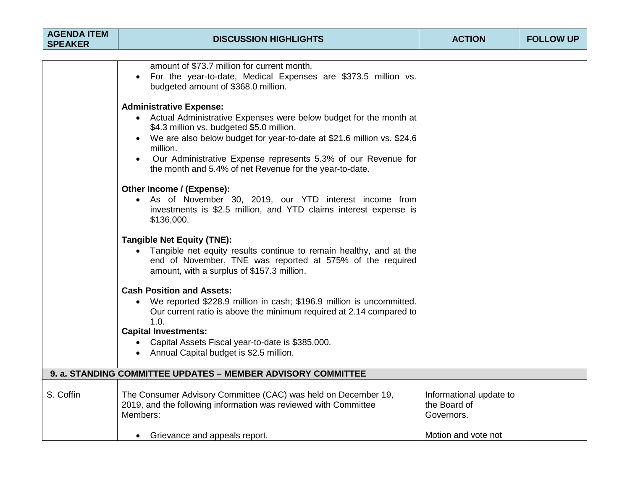| <b>AGENDA ITEM</b><br><b>SPEAKER</b> | <b>DISCUSSION HIGHLIGHTS</b>                                                                                                                                                                                                                                                                                                                                                        | <b>ACTION</b>                                         | <b>FOLLOW UP</b> |
|--------------------------------------|-------------------------------------------------------------------------------------------------------------------------------------------------------------------------------------------------------------------------------------------------------------------------------------------------------------------------------------------------------------------------------------|-------------------------------------------------------|------------------|
|                                      |                                                                                                                                                                                                                                                                                                                                                                                     |                                                       |                  |
|                                      | amount of \$73.7 million for current month.<br>For the year-to-date, Medical Expenses are \$373.5 million vs.<br>budgeted amount of \$368.0 million.                                                                                                                                                                                                                                |                                                       |                  |
|                                      | <b>Administrative Expense:</b><br>• Actual Administrative Expenses were below budget for the month at<br>\$4.3 million vs. budgeted \$5.0 million.<br>• We are also below budget for year-to-date at \$21.6 million vs. \$24.6<br>million.<br>Our Administrative Expense represents 5.3% of our Revenue for<br>$\bullet$<br>the month and 5.4% of net Revenue for the year-to-date. |                                                       |                  |
|                                      | Other Income / (Expense):<br>• As of November 30, 2019, our YTD interest income from<br>investments is \$2.5 million, and YTD claims interest expense is<br>\$136,000.                                                                                                                                                                                                              |                                                       |                  |
|                                      | <b>Tangible Net Equity (TNE):</b><br>• Tangible net equity results continue to remain healthy, and at the<br>end of November, TNE was reported at 575% of the required<br>amount, with a surplus of \$157.3 million.                                                                                                                                                                |                                                       |                  |
|                                      | <b>Cash Position and Assets:</b><br>• We reported \$228.9 million in cash; \$196.9 million is uncommitted.<br>Our current ratio is above the minimum required at 2.14 compared to<br>1.0.<br><b>Capital Investments:</b><br>• Capital Assets Fiscal year-to-date is \$385,000.<br>• Annual Capital budget is \$2.5 million.                                                         |                                                       |                  |
|                                      | 9. a. STANDING COMMITTEE UPDATES - MEMBER ADVISORY COMMITTEE                                                                                                                                                                                                                                                                                                                        |                                                       |                  |
| S. Coffin                            | The Consumer Advisory Committee (CAC) was held on December 19,<br>2019, and the following information was reviewed with Committee<br>Members:                                                                                                                                                                                                                                       | Informational update to<br>the Board of<br>Governors. |                  |
|                                      | • Grievance and appeals report.                                                                                                                                                                                                                                                                                                                                                     | Motion and vote not                                   |                  |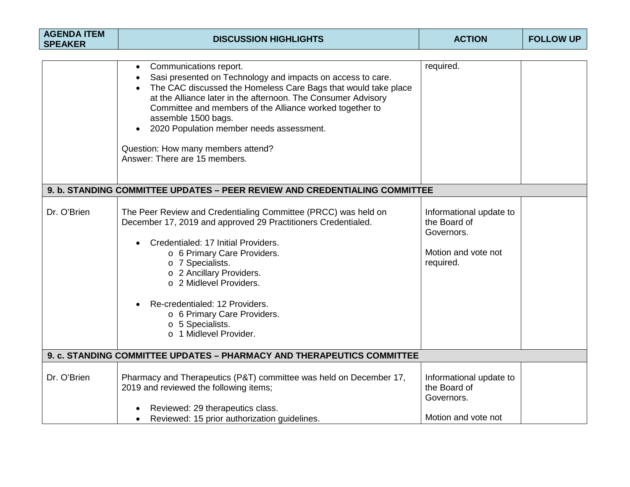| <b>AGENDA ITEM</b><br><b>SPEAKER</b> | <b>DISCUSSION HIGHLIGHTS</b>                                                                                                                                                                                                                                                                                                                                                                                                                | <b>ACTION</b>                                                                             | <b>FOLLOW UP</b> |
|--------------------------------------|---------------------------------------------------------------------------------------------------------------------------------------------------------------------------------------------------------------------------------------------------------------------------------------------------------------------------------------------------------------------------------------------------------------------------------------------|-------------------------------------------------------------------------------------------|------------------|
|                                      |                                                                                                                                                                                                                                                                                                                                                                                                                                             |                                                                                           |                  |
|                                      | Communications report.<br>$\bullet$<br>Sasi presented on Technology and impacts on access to care.<br>The CAC discussed the Homeless Care Bags that would take place<br>at the Alliance later in the afternoon. The Consumer Advisory<br>Committee and members of the Alliance worked together to<br>assemble 1500 bags.<br>2020 Population member needs assessment.<br>Question: How many members attend?<br>Answer: There are 15 members. | required.                                                                                 |                  |
|                                      | 9. b. STANDING COMMITTEE UPDATES - PEER REVIEW AND CREDENTIALING COMMITTEE                                                                                                                                                                                                                                                                                                                                                                  |                                                                                           |                  |
| Dr. O'Brien                          | The Peer Review and Credentialing Committee (PRCC) was held on<br>December 17, 2019 and approved 29 Practitioners Credentialed.<br>Credentialed: 17 Initial Providers.<br>o 6 Primary Care Providers.<br>o 7 Specialists.<br>o 2 Ancillary Providers.<br>o 2 Midlevel Providers.<br>Re-credentialed: 12 Providers.<br>o 6 Primary Care Providers.<br>o 5 Specialists.<br>o 1 Midlevel Provider.                                             | Informational update to<br>the Board of<br>Governors.<br>Motion and vote not<br>required. |                  |
|                                      | 9. c. STANDING COMMITTEE UPDATES - PHARMACY AND THERAPEUTICS COMMITTEE                                                                                                                                                                                                                                                                                                                                                                      |                                                                                           |                  |
| Dr. O'Brien                          | Pharmacy and Therapeutics (P&T) committee was held on December 17,<br>2019 and reviewed the following items;                                                                                                                                                                                                                                                                                                                                | Informational update to<br>the Board of<br>Governors.                                     |                  |
|                                      | Reviewed: 29 therapeutics class.<br>Reviewed: 15 prior authorization guidelines.<br>$\bullet$                                                                                                                                                                                                                                                                                                                                               | Motion and vote not                                                                       |                  |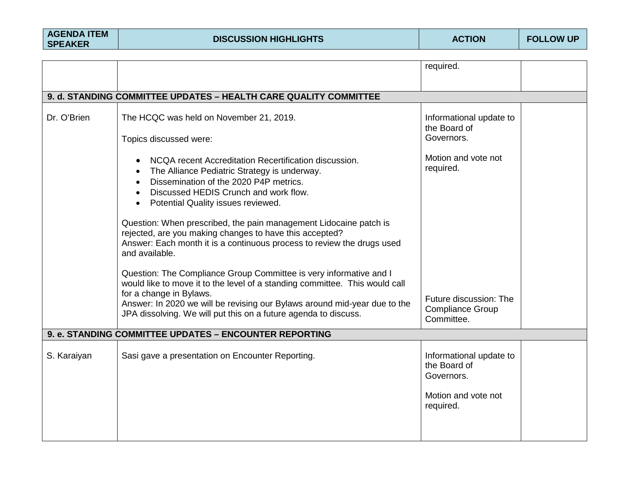|             |                                                                                                                                                                                                                                             | required.                                             |
|-------------|---------------------------------------------------------------------------------------------------------------------------------------------------------------------------------------------------------------------------------------------|-------------------------------------------------------|
|             |                                                                                                                                                                                                                                             |                                                       |
|             | 9. d. STANDING COMMITTEE UPDATES - HEALTH CARE QUALITY COMMITTEE                                                                                                                                                                            |                                                       |
| Dr. O'Brien | The HCQC was held on November 21, 2019.                                                                                                                                                                                                     | Informational update to<br>the Board of               |
|             | Topics discussed were:                                                                                                                                                                                                                      | Governors.                                            |
|             | NCQA recent Accreditation Recertification discussion.<br>The Alliance Pediatric Strategy is underway.<br>Dissemination of the 2020 P4P metrics.<br>$\bullet$<br>Discussed HEDIS Crunch and work flow.<br>Potential Quality issues reviewed. | Motion and vote not<br>required.                      |
|             | Question: When prescribed, the pain management Lidocaine patch is<br>rejected, are you making changes to have this accepted?<br>Answer: Each month it is a continuous process to review the drugs used<br>and available.                    |                                                       |
|             | Question: The Compliance Group Committee is very informative and I<br>would like to move it to the level of a standing committee. This would call<br>for a change in Bylaws.                                                                | Future discussion: The                                |
|             | Answer: In 2020 we will be revising our Bylaws around mid-year due to the<br>JPA dissolving. We will put this on a future agenda to discuss.                                                                                                | <b>Compliance Group</b><br>Committee.                 |
|             | 9. e. STANDING COMMITTEE UPDATES - ENCOUNTER REPORTING                                                                                                                                                                                      |                                                       |
| S. Karaiyan | Sasi gave a presentation on Encounter Reporting.                                                                                                                                                                                            | Informational update to<br>the Board of<br>Governors. |
|             |                                                                                                                                                                                                                                             | Motion and vote not<br>required.                      |